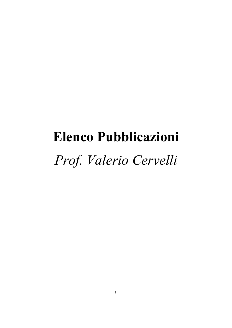# **Elenco Pubblicazioni** *Prof. Valerio Cervelli*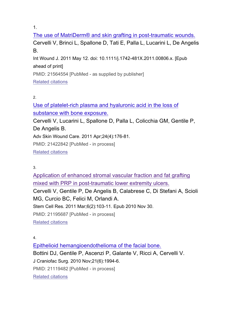The use of MatriDerm® and skin grafting in post-traumatic wounds. Cervelli V, Brinci L, Spallone D, Tati E, Palla L, Lucarini L, De Angelis B.

Int Wound J. 2011 May 12. doi: 10.1111/j.1742-481X.2011.00806.x. [Epub ahead of print]

PMID: 21564554 [PubMed - as supplied by publisher]

Related citations

2.

Use of platelet-rich plasma and hyaluronic acid in the loss of substance with bone exposure.

Cervelli V, Lucarini L, Spallone D, Palla L, Colicchia GM, Gentile P, De Angelis B.

Adv Skin Wound Care. 2011 Apr;24(4):176-81.

PMID: 21422842 [PubMed - in process]

Related citations

3.

Application of enhanced stromal vascular fraction and fat grafting mixed with PRP in post-traumatic lower extremity ulcers. Cervelli V, Gentile P, De Angelis B, Calabrese C, Di Stefani A, Scioli MG, Curcio BC, Felici M, Orlandi A. Stem Cell Res. 2011 Mar;6(2):103-11. Epub 2010 Nov 30. PMID: 21195687 [PubMed - in process] Related citations

4.

Epithelioid hemangioendothelioma of the facial bone.

Bottini DJ, Gentile P, Ascenzi P, Galante V, Ricci A, Cervelli V.

J Craniofac Surg. 2010 Nov;21(6):1994-6.

PMID: 21119482 [PubMed - in process]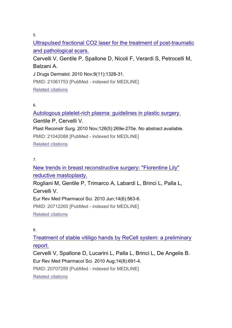Ultrapulsed fractional CO2 laser for the treatment of post-traumatic and pathological scars.

Cervelli V, Gentile P, Spallone D, Nicoli F, Verardi S, Petrocelli M, Balzani A.

J Drugs Dermatol. 2010 Nov;9(11):1328-31.

PMID: 21061753 [PubMed - indexed for MEDLINE] Related citations

## 6.

Autologous platelet-rich plasma: guidelines in plastic surgery. Gentile P, Cervelli V.

Plast Reconstr Surg. 2010 Nov;126(5):269e-270e. No abstract available. PMID: 21042088 [PubMed - indexed for MEDLINE] Related citations

## 7.

New trends in breast reconstructive surgery: "Florentine Lily" reductive mastoplasty.

Rogliani M, Gentile P, Trimarco A, Labardi L, Brinci L, Palla L, Cervelli V.

Eur Rev Med Pharmacol Sci. 2010 Jun;14(6):563-6.

PMID: 20712265 [PubMed - indexed for MEDLINE]

Related citations

8.

Treatment of stable vitiligo hands by ReCell system: a preliminary report.

Cervelli V, Spallone D, Lucarini L, Palla L, Brinci L, De Angelis B. Eur Rev Med Pharmacol Sci. 2010 Aug;14(8):691-4.

PMID: 20707289 [PubMed - indexed for MEDLINE]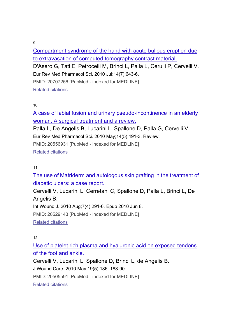Compartment syndrome of the hand with acute bullous eruption due to extravasation of computed tomography contrast material.

D'Asero G, Tati E, Petrocelli M, Brinci L, Palla L, Cerulli P, Cervelli V. Eur Rev Med Pharmacol Sci. 2010 Jul;14(7):643-6.

PMID: 20707256 [PubMed - indexed for MEDLINE] Related citations

10.

A case of labial fusion and urinary pseudo-incontinence in an elderly woman. A surgical treatment and a review.

Palla L, De Angelis B, Lucarini L, Spallone D, Palla G, Cervelli V. Eur Rev Med Pharmacol Sci. 2010 May;14(5):491-3. Review.

PMID: 20556931 [PubMed - indexed for MEDLINE]

Related citations

11.

The use of Matriderm and autologous skin grafting in the treatment of diabetic ulcers: a case report.

Cervelli V, Lucarini L, Cerretani C, Spallone D, Palla L, Brinci L, De Angelis B.

Int Wound J. 2010 Aug;7(4):291-6. Epub 2010 Jun 8.

PMID: 20529143 [PubMed - indexed for MEDLINE]

Related citations

12.

Use of platelet rich plasma and hyaluronic acid on exposed tendons of the foot and ankle.

Cervelli V, Lucarini L, Spallone D, Brinci L, de Angelis B.

J Wound Care. 2010 May;19(5):186, 188-90.

PMID: 20505591 [PubMed - indexed for MEDLINE]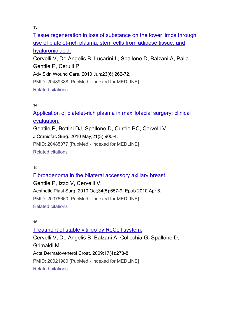Tissue regeneration in loss of substance on the lower limbs through use of platelet-rich plasma, stem cells from adipose tissue, and hyaluronic acid.

Cervelli V, De Angelis B, Lucarini L, Spallone D, Balzani A, Palla L, Gentile P, Cerulli P.

Adv Skin Wound Care. 2010 Jun;23(6):262-72.

PMID: 20489388 [PubMed - indexed for MEDLINE]

Related citations

## 14.

Application of platelet-rich plasma in maxillofacial surgery: clinical evaluation.

Gentile P, Bottini DJ, Spallone D, Curcio BC, Cervelli V. J Craniofac Surg. 2010 May;21(3):900-4.

PMID: 20485077 [PubMed - indexed for MEDLINE]

Related citations

15.

Fibroadenoma in the bilateral accessory axillary breast. Gentile P, Izzo V, Cervelli V. Aesthetic Plast Surg. 2010 Oct;34(5):657-9. Epub 2010 Apr 8. PMID: 20376660 [PubMed - indexed for MEDLINE] Related citations

16.

Treatment of stable vitiligo by ReCell system. Cervelli V, De Angelis B, Balzani A, Colicchia G, Spallone D, Grimaldi M. Acta Dermatovenerol Croat. 2009;17(4):273-8. PMID: 20021980 [PubMed - indexed for MEDLINE] Related citations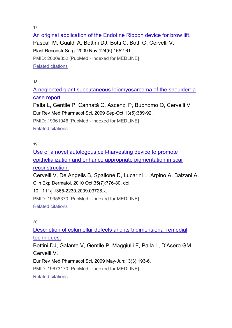An original application of the Endotine Ribbon device for brow lift. Pascali M, Gualdi A, Bottini DJ, Botti C, Botti G, Cervelli V. Plast Reconstr Surg. 2009 Nov;124(5):1652-61. PMID: 20009852 [PubMed - indexed for MEDLINE] Related citations

18.

A neglected giant subcutaneous leiomyosarcoma of the shoulder: a case report.

Palla L, Gentile P, Cannatà C, Ascenzi P, Buonomo O, Cervelli V. Eur Rev Med Pharmacol Sci. 2009 Sep-Oct;13(5):389-92.

PMID: 19961046 [PubMed - indexed for MEDLINE]

Related citations

19.

Use of a novel autologous cell-harvesting device to promote epithelialization and enhance appropriate pigmentation in scar reconstruction.

Cervelli V, De Angelis B, Spallone D, Lucarini L, Arpino A, Balzani A. Clin Exp Dermatol. 2010 Oct;35(7):776-80. doi:

10.1111/j.1365-2230.2009.03728.x.

PMID: 19958370 [PubMed - indexed for MEDLINE]

Related citations

20.

Description of columellar defects and its tridimensional remedial techniques.

Bottini DJ, Galante V, Gentile P, Maggiulli F, Palla L, D'Asero GM, Cervelli V.

Eur Rev Med Pharmacol Sci. 2009 May-Jun;13(3):193-6.

PMID: 19673170 [PubMed - indexed for MEDLINE]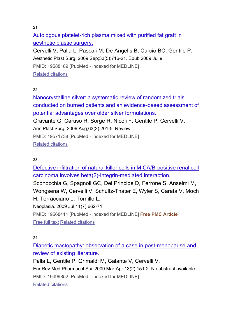Autologous platelet-rich plasma mixed with purified fat graft in aesthetic plastic surgery.

Cervelli V, Palla L, Pascali M, De Angelis B, Curcio BC, Gentile P. Aesthetic Plast Surg. 2009 Sep;33(5):716-21. Epub 2009 Jul 9. PMID: 19588189 [PubMed - indexed for MEDLINE] Related citations

22.

Nanocrystalline silver: a systematic review of randomized trials conducted on burned patients and an evidence-based assessment of potential advantages over older silver formulations.

Gravante G, Caruso R, Sorge R, Nicoli F, Gentile P, Cervelli V.

Ann Plast Surg. 2009 Aug;63(2):201-5. Review.

PMID: 19571738 [PubMed - indexed for MEDLINE]

Related citations

## 23.

Defective infiltration of natural killer cells in MICA/B-positive renal cell carcinoma involves beta(2)-integrin-mediated interaction.

Sconocchia G, Spagnoli GC, Del Principe D, Ferrone S, Anselmi M, Wongsena W, Cervelli V, Schultz-Thater E, Wyler S, Carafa V, Moch H, Terracciano L, Tornillo L.

Neoplasia. 2009 Jul;11(7):662-71.

PMID: 19568411 [PubMed - indexed for MEDLINE] **Free PMC Article** Free full text Related citations

24.

Diabetic mastopathy: observation of a case in post-menopause and review of existing literature.

Palla L, Gentile P, Grimaldi M, Galante V, Cervelli V.

Eur Rev Med Pharmacol Sci. 2009 Mar-Apr;13(2):151-2. No abstract available.

PMID: 19499852 [PubMed - indexed for MEDLINE]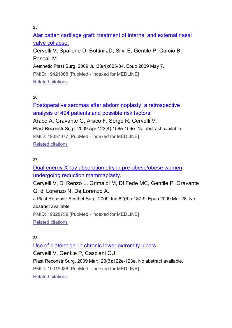Alar batten cartilage graft: treatment of internal and external nasal valve collapse. Cervelli V, Spallone D, Bottini JD, Silvi E, Gentile P, Curcio B, Pascali M. Aesthetic Plast Surg. 2009 Jul;33(4):625-34. Epub 2009 May 7. PMID: 19421808 [PubMed - indexed for MEDLINE]

Related citations

26.

Postoperative seromas after abdominoplasty: a retrospective analysis of 494 patients and possible risk factors. Araco A, Gravante G, Araco F, Sorge R, Cervelli V. Plast Reconstr Surg. 2009 Apr;123(4):158e-159e. No abstract available. PMID: 19337077 [PubMed - indexed for MEDLINE]

Related citations

## 27.

Dual energy X-ray absorptiometry in pre-obese/obese women undergoing reduction mammaplasty.

Cervelli V, Di Renzo L, Grimaldi M, Di Fede MC, Gentile P, Gravante G, di Lorenzo N, De Lorenzo A.

J Plast Reconstr Aesthet Surg. 2009 Jun;62(6):e187-9. Epub 2009 Mar 28. No abstract available.

PMID: 19328759 [PubMed - indexed for MEDLINE]

Related citations

28.

Use of platelet gel in chronic lower extremity ulcers.

Cervelli V, Gentile P, Casciani CU.

Plast Reconstr Surg. 2009 Mar;123(3):122e-123e. No abstract available.

PMID: 19319036 [PubMed - indexed for MEDLINE]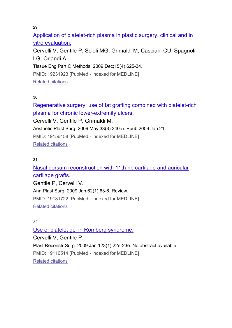Application of platelet-rich plasma in plastic surgery: clinical and in vitro evaluation.

Cervelli V, Gentile P, Scioli MG, Grimaldi M, Casciani CU, Spagnoli LG, Orlandi A.

Tissue Eng Part C Methods. 2009 Dec;15(4):625-34.

PMID: 19231923 [PubMed - indexed for MEDLINE]

Related citations

30.

Regenerative surgery: use of fat grafting combined with platelet-rich plasma for chronic lower-extremity ulcers.

Cervelli V, Gentile P, Grimaldi M.

Aesthetic Plast Surg. 2009 May;33(3):340-5. Epub 2009 Jan 21.

PMID: 19156458 [PubMed - indexed for MEDLINE]

Related citations

31.

Nasal dorsum reconstruction with 11th rib cartilage and auricular cartilage grafts.

Gentile P, Cervelli V.

Ann Plast Surg. 2009 Jan;62(1):63-6. Review.

PMID: 19131722 [PubMed - indexed for MEDLINE]

Related citations

32.

Use of platelet gel in Romberg syndrome. Cervelli V, Gentile P. Plast Reconstr Surg. 2009 Jan;123(1):22e-23e. No abstract available. PMID: 19116514 [PubMed - indexed for MEDLINE] Related citations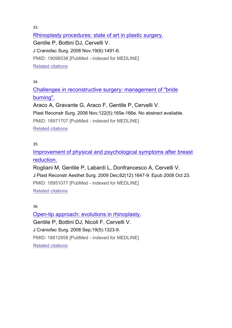Rhinoplasty procedures: state of art in plastic surgery. Gentile P, Bottini DJ, Cervelli V. J Craniofac Surg. 2008 Nov;19(6):1491-6. PMID: 19098538 [PubMed - indexed for MEDLINE] Related citations

34.

Challenges in reconstructive surgery: management of "bride burning".

Araco A, Gravante G, Araco F, Gentile P, Cervelli V. Plast Reconstr Surg. 2008 Nov;122(5):165e-166e. No abstract available. PMID: 18971707 [PubMed - indexed for MEDLINE] Related citations

35.

Improvement of physical and psychological symptoms after breast reduction.

Rogliani M, Gentile P, Labardi L, Donfrancesco A, Cervelli V. J Plast Reconstr Aesthet Surg. 2009 Dec;62(12):1647-9. Epub 2008 Oct 23. PMID: 18951077 [PubMed - indexed for MEDLINE] Related citations

36.

Open-tip approach: evolutions in rhinoplasty. Gentile P, Bottini DJ, Nicoli F, Cervelli V. J Craniofac Surg. 2008 Sep;19(5):1323-9. PMID: 18812858 [PubMed - indexed for MEDLINE] Related citations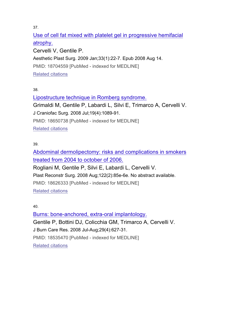Use of cell fat mixed with platelet gel in progressive hemifacial atrophy.

Cervelli V, Gentile P. Aesthetic Plast Surg. 2009 Jan;33(1):22-7. Epub 2008 Aug 14. PMID: 18704559 [PubMed - indexed for MEDLINE] Related citations

38.

Lipostructure technique in Romberg syndrome. Grimaldi M, Gentile P, Labardi L, Silvi E, Trimarco A, Cervelli V. J Craniofac Surg. 2008 Jul;19(4):1089-91. PMID: 18650738 [PubMed - indexed for MEDLINE] Related citations

39.

Abdominal dermolipectomy: risks and complications in smokers treated from 2004 to october of 2006.

Rogliani M, Gentile P, Silvi E, Labardi L, Cervelli V. Plast Reconstr Surg. 2008 Aug;122(2):85e-6e. No abstract available.

PMID: 18626333 [PubMed - indexed for MEDLINE]

Related citations

40.

Burns: bone-anchored, extra-oral implantology. Gentile P, Bottini DJ, Colicchia GM, Trimarco A, Cervelli V. J Burn Care Res. 2008 Jul-Aug;29(4):627-31. PMID: 18535470 [PubMed - indexed for MEDLINE] Related citations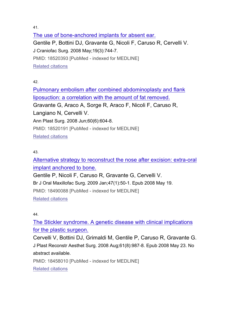The use of bone-anchored implants for absent ear. Gentile P, Bottini DJ, Gravante G, Nicoli F, Caruso R, Cervelli V. J Craniofac Surg. 2008 May;19(3):744-7. PMID: 18520393 [PubMed - indexed for MEDLINE] Related citations

42.

Pulmonary embolism after combined abdominoplasty and flank liposuction: a correlation with the amount of fat removed. Gravante G, Araco A, Sorge R, Araco F, Nicoli F, Caruso R, Langiano N, Cervelli V. Ann Plast Surg. 2008 Jun;60(6):604-8. PMID: 18520191 [PubMed - indexed for MEDLINE] Related citations

43.

Alternative strategy to reconstruct the nose after excision: extra-oral implant anchored to bone.

Gentile P, Nicoli F, Caruso R, Gravante G, Cervelli V. Br J Oral Maxillofac Surg. 2009 Jan;47(1):50-1. Epub 2008 May 19. PMID: 18490088 [PubMed - indexed for MEDLINE] Related citations

44.

The Stickler syndrome. A genetic disease with clinical implications for the plastic surgeon.

Cervelli V, Bottini DJ, Grimaldi M, Gentile P, Caruso R, Gravante G. J Plast Reconstr Aesthet Surg. 2008 Aug;61(8):987-8. Epub 2008 May 23. No abstract available.

PMID: 18458010 [PubMed - indexed for MEDLINE] Related citations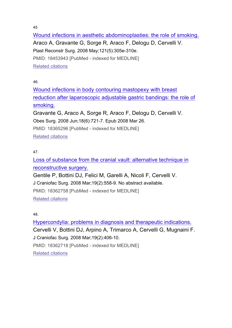45

Wound infections in aesthetic abdominoplasties: the role of smoking. Araco A, Gravante G, Sorge R, Araco F, Delogu D, Cervelli V. Plast Reconstr Surg. 2008 May;121(5):305e-310e. PMID: 18453943 [PubMed - indexed for MEDLINE] Related citations

46.

Wound infections in body contouring mastopexy with breast reduction after laparoscopic adjustable gastric bandings: the role of smoking.

Gravante G, Araco A, Sorge R, Araco F, Delogu D, Cervelli V. Obes Surg. 2008 Jun;18(6):721-7. Epub 2008 Mar 26. PMID: 18365296 [PubMed - indexed for MEDLINE]

Related citations

## 47.

Loss of substance from the cranial vault: alternative technique in reconstructive surgery.

Gentile P, Bottini DJ, Felici M, Garelli A, Nicoli F, Cervelli V.

J Craniofac Surg. 2008 Mar;19(2):558-9. No abstract available.

PMID: 18362758 [PubMed - indexed for MEDLINE]

Related citations

48.

Hypercondylia: problems in diagnosis and therapeutic indications. Cervelli V, Bottini DJ, Arpino A, Trimarco A, Cervelli G, Mugnaini F. J Craniofac Surg. 2008 Mar;19(2):406-10. PMID: 18362718 [PubMed - indexed for MEDLINE] Related citations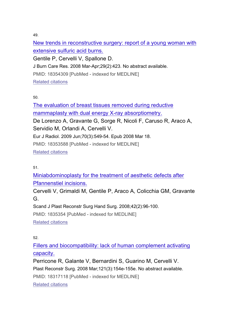New trends in reconstructive surgery: report of a young woman with extensive sulfuric acid burns. Gentile P, Cervelli V, Spallone D. J Burn Care Res. 2008 Mar-Apr;29(2):423. No abstract available. PMID: 18354309 [PubMed - indexed for MEDLINE] Related citations

50.

The evaluation of breast tissues removed during reductive mammaplasty with dual energy X-ray absorptiometry. De Lorenzo A, Gravante G, Sorge R, Nicoli F, Caruso R, Araco A, Servidio M, Orlandi A, Cervelli V. Eur J Radiol. 2009 Jun;70(3):549-54. Epub 2008 Mar 18. PMID: 18353588 [PubMed - indexed for MEDLINE] Related citations

51.

Miniabdominoplasty for the treatment of aesthetic defects after Pfannenstiel incisions.

Cervelli V, Grimaldi M, Gentile P, Araco A, Colicchia GM, Gravante G.

Scand J Plast Reconstr Surg Hand Surg. 2008;42(2):96-100.

PMID: 1835354 [PubMed - indexed for MEDLINE]

Related citations

52.

Fillers and biocompatibility: lack of human complement activating capacity.

Perricone R, Galante V, Bernardini S, Guarino M, Cervelli V. Plast Reconstr Surg. 2008 Mar;121(3):154e-155e. No abstract available. PMID: 18317118 [PubMed - indexed for MEDLINE] Related citations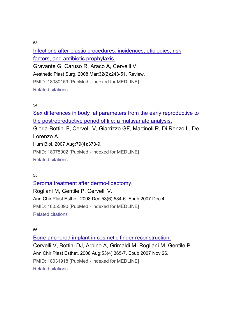Infections after plastic procedures: incidences, etiologies, risk factors, and antibiotic prophylaxis.

Gravante G, Caruso R, Araco A, Cervelli V.

Aesthetic Plast Surg. 2008 Mar;32(2):243-51. Review.

PMID: 18080159 [PubMed - indexed for MEDLINE]

Related citations

## 54.

Sex differences in body fat parameters from the early reproductive to the postreproductive period of life: a multivariate analysis.

Gloria-Bottini F, Cervelli V, Giarrizzo GF, Martinoli R, Di Renzo L, De Lorenzo A.

Hum Biol. 2007 Aug;79(4):373-9.

PMID: 18075002 [PubMed - indexed for MEDLINE]

Related citations

55.

Seroma treatment after dermo-lipectomy. Rogliani M, Gentile P, Cervelli V. Ann Chir Plast Esthet. 2008 Dec;53(6):534-6. Epub 2007 Dec 4. PMID: 18055090 [PubMed - indexed for MEDLINE] Related citations

56.

Bone-anchored implant in cosmetic finger reconstruction. Cervelli V, Bottini DJ, Arpino A, Grimaldi M, Rogliani M, Gentile P. Ann Chir Plast Esthet. 2008 Aug;53(4):365-7. Epub 2007 Nov 26. PMID: 18031918 [PubMed - indexed for MEDLINE] Related citations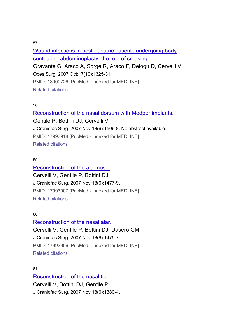Wound infections in post-bariatric patients undergoing body contouring abdominoplasty: the role of smoking. Gravante G, Araco A, Sorge R, Araco F, Delogu D, Cervelli V. Obes Surg. 2007 Oct;17(10):1325-31. PMID: 18000726 [PubMed - indexed for MEDLINE] Related citations

#### 58.

Reconstruction of the nasal dorsum with Medpor implants. Gentile P, Bottini DJ, Cervelli V. J Craniofac Surg. 2007 Nov;18(6):1506-8. No abstract available. PMID: 17993918 [PubMed - indexed for MEDLINE] Related citations

#### 59.

Reconstruction of the alar nose. Cervelli V, Gentile P, Bottini DJ. J Craniofac Surg. 2007 Nov;18(6):1477-9. PMID: 17993907 [PubMed - indexed for MEDLINE] Related citations

#### 60.

Reconstruction of the nasal alar. Cervelli V, Gentile P, Bottini DJ, Dasero GM. J Craniofac Surg. 2007 Nov;18(6):1475-7. PMID: 17993906 [PubMed - indexed for MEDLINE] Related citations

#### 61.

Reconstruction of the nasal tip. Cervelli V, Bottini DJ, Gentile P. J Craniofac Surg. 2007 Nov;18(6):1380-4.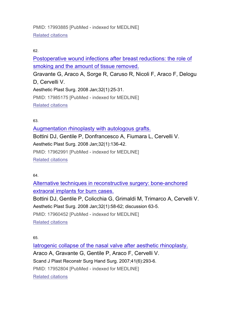PMID: 17993885 [PubMed - indexed for MEDLINE] Related citations

## 62.

Postoperative wound infections after breast reductions: the role of smoking and the amount of tissue removed.

Gravante G, Araco A, Sorge R, Caruso R, Nicoli F, Araco F, Delogu D, Cervelli V. Aesthetic Plast Surg. 2008 Jan;32(1):25-31. PMID: 17985175 [PubMed - indexed for MEDLINE] Related citations

## 63.

Augmentation rhinoplasty with autologous grafts. Bottini DJ, Gentile P, Donfrancesco A, Fiumara L, Cervelli V. Aesthetic Plast Surg. 2008 Jan;32(1):136-42. PMID: 17962991 [PubMed - indexed for MEDLINE] Related citations

64.

Alternative techniques in reconstructive surgery: bone-anchored extraoral implants for burn cases.

Bottini DJ, Gentile P, Colicchia G, Grimaldi M, Trimarco A, Cervelli V. Aesthetic Plast Surg. 2008 Jan;32(1):58-62; discussion 63-5. PMID: 17960452 [PubMed - indexed for MEDLINE]

Related citations

65.

Iatrogenic collapse of the nasal valve after aesthetic rhinoplasty. Araco A, Gravante G, Gentile P, Araco F, Cervelli V. Scand J Plast Reconstr Surg Hand Surg. 2007;41(6):293-6. PMID: 17952804 [PubMed - indexed for MEDLINE] Related citations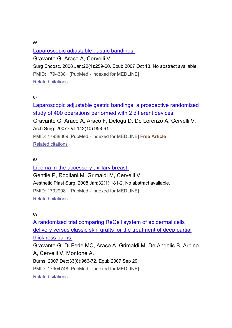Laparoscopic adjustable gastric bandings. Gravante G, Araco A, Cervelli V. Surg Endosc. 2008 Jan;22(1):259-60. Epub 2007 Oct 18. No abstract available. PMID: 17943381 [PubMed - indexed for MEDLINE] Related citations

67.

Laparoscopic adjustable gastric bandings: a prospective randomized study of 400 operations performed with 2 different devices.

Gravante G, Araco A, Araco F, Delogu D, De Lorenzo A, Cervelli V. Arch Surg. 2007 Oct;142(10):958-61.

PMID: 17938309 [PubMed - indexed for MEDLINE] **Free Article** Related citations

#### 68.

Lipoma in the accessory axillary breast. Gentile P, Rogliani M, Grimaldi M, Cervelli V. Aesthetic Plast Surg. 2008 Jan;32(1):181-2. No abstract available. PMID: 17929081 [PubMed - indexed for MEDLINE] Related citations

#### 69.

A randomized trial comparing ReCell system of epidermal cells delivery versus classic skin grafts for the treatment of deep partial thickness burns.

Gravante G, Di Fede MC, Araco A, Grimaldi M, De Angelis B, Arpino A, Cervelli V, Montone A.

Burns. 2007 Dec;33(8):966-72. Epub 2007 Sep 29.

PMID: 17904748 [PubMed - indexed for MEDLINE]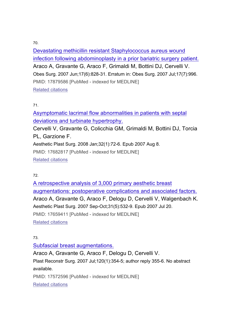Devastating methicillin resistant Staphylococcus aureus wound infection following abdominoplasty in a prior bariatric surgery patient. Araco A, Gravante G, Araco F, Grimaldi M, Bottini DJ, Cervelli V. Obes Surg. 2007 Jun;17(6):828-31. Erratum in: Obes Surg. 2007 Jul;17(7):996. PMID: 17879586 [PubMed - indexed for MEDLINE] Related citations

## 71.

Asymptomatic lacrimal flow abnormalities in patients with septal deviations and turbinate hypertrophy.

Cervelli V, Gravante G, Colicchia GM, Grimaldi M, Bottini DJ, Torcia PL, Garzione F.

Aesthetic Plast Surg. 2008 Jan;32(1):72-6. Epub 2007 Aug 8.

PMID: 17682817 [PubMed - indexed for MEDLINE] Related citations

72.

A retrospective analysis of 3,000 primary aesthetic breast augmentations: postoperative complications and associated factors. Araco A, Gravante G, Araco F, Delogu D, Cervelli V, Walgenbach K. Aesthetic Plast Surg. 2007 Sep-Oct;31(5):532-9. Epub 2007 Jul 20. PMID: 17659411 [PubMed - indexed for MEDLINE] Related citations

73.

Subfascial breast augmentations.

Araco A, Gravante G, Araco F, Delogu D, Cervelli V. Plast Reconstr Surg. 2007 Jul;120(1):354-5; author reply 355-6. No abstract available. PMID: 17572596 [PubMed - indexed for MEDLINE]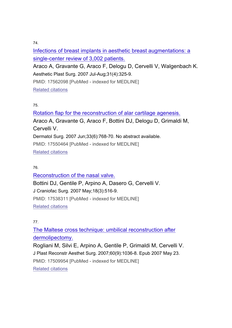Infections of breast implants in aesthetic breast augmentations: a single-center review of 3,002 patients.

Araco A, Gravante G, Araco F, Delogu D, Cervelli V, Walgenbach K. Aesthetic Plast Surg. 2007 Jul-Aug;31(4):325-9.

PMID: 17562098 [PubMed - indexed for MEDLINE] Related citations

## 75.

Rotation flap for the reconstruction of alar cartilage agenesis. Araco A, Gravante G, Araco F, Bottini DJ, Delogu D, Grimaldi M, Cervelli V. Dermatol Surg. 2007 Jun;33(6):768-70. No abstract available. PMID: 17550464 [PubMed - indexed for MEDLINE] Related citations

## 76.

Reconstruction of the nasal valve. Bottini DJ, Gentile P, Arpino A, Dasero G, Cervelli V. J Craniofac Surg. 2007 May;18(3):516-9. PMID: 17538311 [PubMed - indexed for MEDLINE] Related citations

## 77.

The Maltese cross technique: umbilical reconstruction after dermolipectomy.

Rogliani M, Silvi E, Arpino A, Gentile P, Grimaldi M, Cervelli V. J Plast Reconstr Aesthet Surg. 2007;60(9):1036-8. Epub 2007 May 23. PMID: 17509954 [PubMed - indexed for MEDLINE] Related citations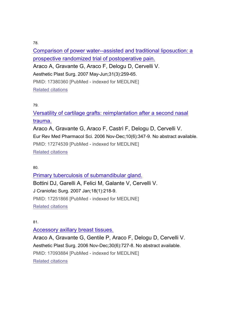Comparison of power water--assisted and traditional liposuction: a prospective randomized trial of postoperative pain. Araco A, Gravante G, Araco F, Delogu D, Cervelli V. Aesthetic Plast Surg. 2007 May-Jun;31(3):259-65. PMID: 17380360 [PubMed - indexed for MEDLINE] Related citations

## 79.

Versatility of cartilage grafts: reimplantation after a second nasal trauma.

Araco A, Gravante G, Araco F, Castrì F, Delogu D, Cervelli V. Eur Rev Med Pharmacol Sci. 2006 Nov-Dec;10(6):347-9. No abstract available. PMID: 17274539 [PubMed - indexed for MEDLINE] Related citations

80.

Primary tuberculosis of submandibular gland. Bottini DJ, Garelli A, Felici M, Galante V, Cervelli V. J Craniofac Surg. 2007 Jan;18(1):218-9. PMID: 17251866 [PubMed - indexed for MEDLINE] Related citations

## 81.

Accessory axillary breast tissues. Araco A, Gravante G, Gentile P, Araco F, Delogu D, Cervelli V. Aesthetic Plast Surg. 2006 Nov-Dec;30(6):727-8. No abstract available. PMID: 17093884 [PubMed - indexed for MEDLINE]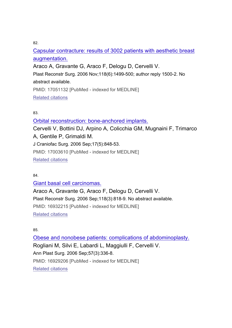Capsular contracture: results of 3002 patients with aesthetic breast augmentation.

Araco A, Gravante G, Araco F, Delogu D, Cervelli V.

Plast Reconstr Surg. 2006 Nov;118(6):1499-500; author reply 1500-2. No

abstract available.

PMID: 17051132 [PubMed - indexed for MEDLINE]

Related citations

83.

Orbital reconstruction: bone-anchored implants.

Cervelli V, Bottini DJ, Arpino A, Colicchia GM, Mugnaini F, Trimarco A, Gentile P, Grimaldi M. J Craniofac Surg. 2006 Sep;17(5):848-53. PMID: 17003610 [PubMed - indexed for MEDLINE]

Related citations

84.

Giant basal cell carcinomas.

Araco A, Gravante G, Araco F, Delogu D, Cervelli V. Plast Reconstr Surg. 2006 Sep;118(3):818-9. No abstract available. PMID: 16932215 [PubMed - indexed for MEDLINE] Related citations

85.

Obese and nonobese patients: complications of abdominoplasty. Rogliani M, Silvi E, Labardi L, Maggiulli F, Cervelli V. Ann Plast Surg. 2006 Sep;57(3):336-8. PMID: 16929206 [PubMed - indexed for MEDLINE] Related citations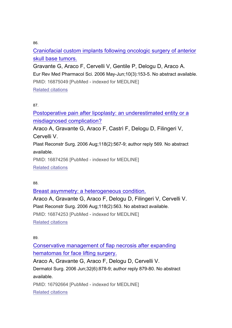Craniofacial custom implants following oncologic surgery of anterior skull base tumors.

Gravante G, Araco F, Cervelli V, Gentile P, Delogu D, Araco A. Eur Rev Med Pharmacol Sci. 2006 May-Jun;10(3):153-5. No abstract available. PMID: 16875049 [PubMed - indexed for MEDLINE] Related citations

## 87.

Postoperative pain after lipoplasty: an underestimated entity or a misdiagnosed complication?

Araco A, Gravante G, Araco F, Castrì F, Delogu D, Filingeri V, Cervelli V.

Plast Reconstr Surg. 2006 Aug;118(2):567-9; author reply 569. No abstract available.

PMID: 16874256 [PubMed - indexed for MEDLINE]

Related citations

88.

Breast asymmetry: a heterogeneous condition.

Araco A, Gravante G, Araco F, Delogu D, Filingeri V, Cervelli V. Plast Reconstr Surg. 2006 Aug;118(2):563. No abstract available. PMID: 16874253 [PubMed - indexed for MEDLINE] Related citations

89.

Conservative management of flap necrosis after expanding hematomas for face lifting surgery.

Araco A, Gravante G, Araco F, Delogu D, Cervelli V.

Dermatol Surg. 2006 Jun;32(6):878-9; author reply 879-80. No abstract available.

PMID: 16792664 [PubMed - indexed for MEDLINE]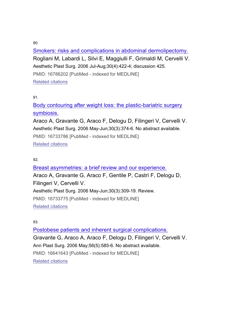Smokers: risks and complications in abdominal dermolipectomy. Rogliani M, Labardi L, Silvi E, Maggiulli F, Grimaldi M, Cervelli V. Aesthetic Plast Surg. 2006 Jul-Aug;30(4):422-4; discussion 425. PMID: 16786202 [PubMed - indexed for MEDLINE] Related citations

91.

Body contouring after weight loss: the plastic-bariatric surgery symbiosis.

Araco A, Gravante G, Araco F, Delogu D, Filingeri V, Cervelli V. Aesthetic Plast Surg. 2006 May-Jun;30(3):374-6. No abstract available. PMID: 16733786 [PubMed - indexed for MEDLINE] Related citations

## 92.

Breast asymmetries: a brief review and our experience. Araco A, Gravante G, Araco F, Gentile P, Castrì F, Delogu D, Filingeri V, Cervelli V. Aesthetic Plast Surg. 2006 May-Jun;30(3):309-19. Review. PMID: 16733775 [PubMed - indexed for MEDLINE] Related citations

93.

Postobese patients and inherent surgical complications. Gravante G, Araco A, Araco F, Delogu D, Filingeri V, Cervelli V. Ann Plast Surg. 2006 May;56(5):585-6. No abstract available. PMID: 16641643 [PubMed - indexed for MEDLINE] Related citations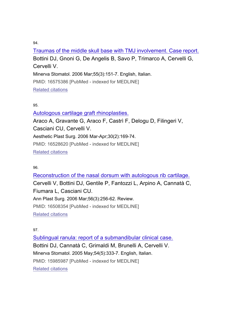Traumas of the middle skull base with TMJ involvement. Case report. Bottini DJ, Gnoni G, De Angelis B, Savo P, Trimarco A, Cervelli G, Cervelli V. Minerva Stomatol. 2006 Mar;55(3):151-7. English, Italian. PMID: 16575386 [PubMed - indexed for MEDLINE]

Related citations

## 95.

Autologous cartilage graft rhinoplasties.

Araco A, Gravante G, Araco F, Castrì F, Delogu D, Filingeri V, Casciani CU, Cervelli V. Aesthetic Plast Surg. 2006 Mar-Apr;30(2):169-74. PMID: 16528620 [PubMed - indexed for MEDLINE] Related citations

96.

Reconstruction of the nasal dorsum with autologous rib cartilage. Cervelli V, Bottini DJ, Gentile P, Fantozzi L, Arpino A, Cannatà C, Fiumara L, Casciani CU. Ann Plast Surg. 2006 Mar;56(3):256-62. Review. PMID: 16508354 [PubMed - indexed for MEDLINE] Related citations

## 97.

Sublingual ranula: report of a submandibular clinical case. Bottini DJ, Cannatà C, Grimaldi M, Brunelli A, Cervelli V. Minerva Stomatol. 2005 May;54(5):333-7. English, Italian. PMID: 15985987 [PubMed - indexed for MEDLINE] Related citations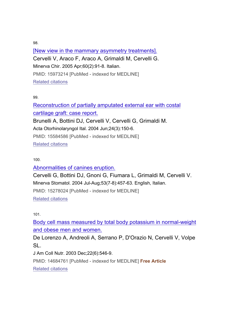[New view in the mammary asymmetry treatments]. Cervelli V, Araco F, Araco A, Grimaldi M, Cervelli G. Minerva Chir. 2005 Apr;60(2):91-8. Italian. PMID: 15973214 [PubMed - indexed for MEDLINE] Related citations

99.

Reconstruction of partially amputated external ear with costal cartilage graft: case report. Brunelli A, Bottini DJ, Cervelli V, Cervelli G, Grimaldi M.

Acta Otorhinolaryngol Ital. 2004 Jun;24(3):150-6.

PMID: 15584586 [PubMed - indexed for MEDLINE]

Related citations

#### 100.

## Abnormalities of canines eruption.

Cervelli G, Bottini DJ, Gnoni G, Fiumara L, Grimaldi M, Cervelli V. Minerva Stomatol. 2004 Jul-Aug;53(7-8):457-63. English, Italian. PMID: 15278024 [PubMed - indexed for MEDLINE] Related citations

101.

Body cell mass measured by total body potassium in normal-weight and obese men and women.

De Lorenzo A, Andreoli A, Serrano P, D'Orazio N, Cervelli V, Volpe SL.

J Am Coll Nutr. 2003 Dec;22(6):546-9.

PMID: 14684761 [PubMed - indexed for MEDLINE] **Free Article** Related citations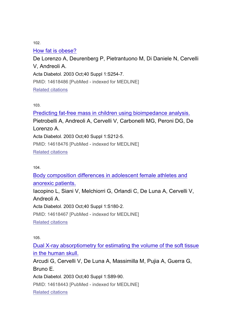# How fat is obese?

De Lorenzo A, Deurenberg P, Pietrantuono M, Di Daniele N, Cervelli V, Andreoli A. Acta Diabetol. 2003 Oct;40 Suppl 1:S254-7. PMID: 14618486 [PubMed - indexed for MEDLINE] Related citations

103.

Predicting fat-free mass in children using bioimpedance analysis. Pietrobelli A, Andreoli A, Cervelli V, Carbonelli MG, Peroni DG, De Lorenzo A. Acta Diabetol. 2003 Oct;40 Suppl 1:S212-5. PMID: 14618476 [PubMed - indexed for MEDLINE] Related citations

104.

Body composition differences in adolescent female athletes and anorexic patients.

Iacopino L, Siani V, Melchiorri G, Orlandi C, De Luna A, Cervelli V, Andreoli A.

Acta Diabetol. 2003 Oct;40 Suppl 1:S180-2.

PMID: 14618467 [PubMed - indexed for MEDLINE]

Related citations

105.

Dual X-ray absorptiometry for estimating the volume of the soft tissue in the human skull.

Arcudi G, Cervelli V, De Luna A, Massimilla M, Pujia A, Guerra G, Bruno E.

Acta Diabetol. 2003 Oct;40 Suppl 1:S89-90.

PMID: 14618443 [PubMed - indexed for MEDLINE]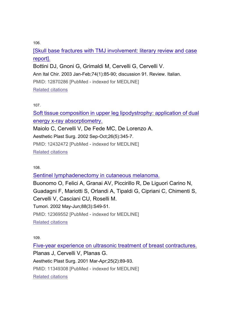[Skull base fractures with TMJ involvement: literary review and case report].

Bottini DJ, Gnoni G, Grimaldi M, Cervelli G, Cervelli V.

Ann Ital Chir. 2003 Jan-Feb;74(1):85-90; discussion 91. Review. Italian.

PMID: 12870286 [PubMed - indexed for MEDLINE]

Related citations

107.

Soft tissue composition in upper leg lipodystrophy: application of dual energy x-ray absorptiometry.

Maiolo C, Cervelli V, De Fede MC, De Lorenzo A.

Aesthetic Plast Surg. 2002 Sep-Oct;26(5):345-7.

PMID: 12432472 [PubMed - indexed for MEDLINE]

Related citations

108.

Sentinel lymphadenectomy in cutaneous melanoma.

Buonomo O, Felici A, Granai AV, Piccirillo R, De Liguori Carino N, Guadagni F, Mariotti S, Orlandi A, Tipaldi G, Cipriani C, Chimenti S, Cervelli V, Casciani CU, Roselli M. Tumori. 2002 May-Jun;88(3):S49-51. PMID: 12369552 [PubMed - indexed for MEDLINE]

Related citations

109.

Five-year experience on ultrasonic treatment of breast contractures.

Planas J, Cervelli V, Planas G.

Aesthetic Plast Surg. 2001 Mar-Apr;25(2):89-93.

PMID: 11349308 [PubMed - indexed for MEDLINE]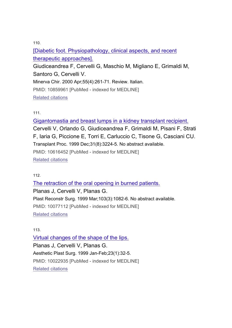[Diabetic foot. Physiopathology, clinical aspects, and recent therapeutic approaches].

Giudiceandrea F, Cervelli G, Maschio M, Migliano E, Grimaldi M, Santoro G, Cervelli V.

Minerva Chir. 2000 Apr;55(4):261-71. Review. Italian.

PMID: 10859961 [PubMed - indexed for MEDLINE]

Related citations

111.

Gigantomastia and breast lumps in a kidney transplant recipient.

Cervelli V, Orlando G, Giudiceandrea F, Grimaldi M, Pisani F, Strati F, Iaria G, Piccione E, Torri E, Carluccio C, Tisone G, Casciani CU. Transplant Proc. 1999 Dec;31(8):3224-5. No abstract available. PMID: 10616452 [PubMed - indexed for MEDLINE] Related citations

112.

The retraction of the oral opening in burned patients. Planas J, Cervelli V, Planas G. Plast Reconstr Surg. 1999 Mar;103(3):1082-6. No abstract available. PMID: 10077112 [PubMed - indexed for MEDLINE] Related citations

## 113.

Virtual changes of the shape of the lips. Planas J, Cervelli V, Planas G. Aesthetic Plast Surg. 1999 Jan-Feb;23(1):32-5. PMID: 10022935 [PubMed - indexed for MEDLINE] Related citations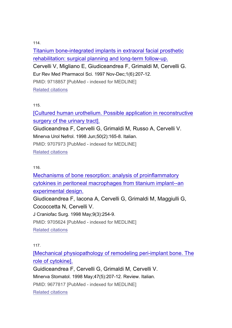Titanium bone-integrated implants in extraoral facial prosthetic rehabilitation: surgical planning and long-term follow-up. Cervelli V, Migliano E, Giudiceandrea F, Grimaldi M, Cervelli G. Eur Rev Med Pharmacol Sci. 1997 Nov-Dec;1(6):207-12. PMID: 9718857 [PubMed - indexed for MEDLINE] Related citations

#### 115.

[Cultured human urothelium. Possible application in reconstructive surgery of the urinary tract].

Giudiceandrea F, Cervelli G, Grimaldi M, Russo A, Cervelli V. Minerva Urol Nefrol. 1998 Jun;50(2):165-8. Italian.

PMID: 9707973 [PubMed - indexed for MEDLINE]

Related citations

116.

Mechanisms of bone resorption: analysis of proinflammatory cytokines in peritoneal macrophages from titanium implant--an experimental design.

Giudiceandrea F, Iacona A, Cervelli G, Grimaldi M, Maggiulli G, Cococcetta N, Cervelli V.

J Craniofac Surg. 1998 May;9(3):254-9.

PMID: 9705624 [PubMed - indexed for MEDLINE]

Related citations

117.

[Mechanical physiopathology of remodeling peri-implant bone. The role of cytokine].

Guidiceandrea F, Cervelli G, Grimaldi M, Cervelli V. Minerva Stomatol. 1998 May;47(5):207-12. Review. Italian. PMID: 9677817 [PubMed - indexed for MEDLINE] Related citations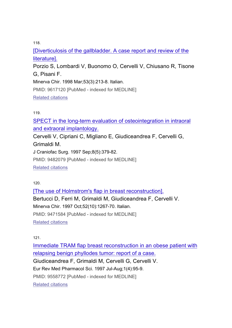[Diverticulosis of the gallbladder. A case report and review of the literature].

Porzio S, Lombardi V, Buonomo O, Cervelli V, Chiusano R, Tisone G, Pisani F.

Minerva Chir. 1998 Mar;53(3):213-8. Italian.

PMID: 9617120 [PubMed - indexed for MEDLINE]

Related citations

119.

SPECT in the long-term evaluation of osteointegration in intraoral and extraoral implantology.

Cervelli V, Cipriani C, Migliano E, Giudiceandrea F, Cervelli G, Grimaldi M.

J Craniofac Surg. 1997 Sep;8(5):379-82.

PMID: 9482079 [PubMed - indexed for MEDLINE]

Related citations

120.

[The use of Holmstrom's flap in breast reconstruction]. Bertucci D, Ferri M, Grimaldi M, Giudiceandrea F, Cervelli V. Minerva Chir. 1997 Oct;52(10):1267-70. Italian. PMID: 9471584 [PubMed - indexed for MEDLINE] Related citations

121.

Immediate TRAM flap breast reconstruction in an obese patient with relapsing benign phyllodes tumor: report of a case. Giudiceandrea F, Grimaldi M, Cervelli G, Cervelli V. Eur Rev Med Pharmacol Sci. 1997 Jul-Aug;1(4):95-9. PMID: 9558772 [PubMed - indexed for MEDLINE] Related citations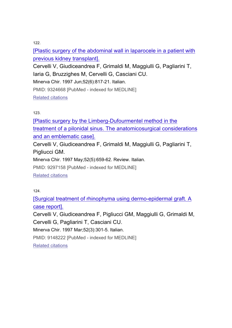[Plastic surgery of the abdominal wall in laparocele in a patient with previous kidney transplant].

Cervelli V, Giudiceandrea F, Grimaldi M, Maggiulli G, Pagliarini T, Iaria G, Bruzzighes M, Cervelli G, Casciani CU.

Minerva Chir. 1997 Jun;52(6):817-21. Italian.

PMID: 9324668 [PubMed - indexed for MEDLINE]

Related citations

123.

[Plastic surgery by the Limberg-Dufourmentel method in the treatment of a pilonidal sinus. The anatomicosurgical considerations and an emblematic case].

Cervelli V, Giudiceandrea F, Grimaldi M, Maggiulli G, Pagliarini T, Pigliucci GM.

Minerva Chir. 1997 May;52(5):659-62. Review. Italian.

PMID: 9297158 [PubMed - indexed for MEDLINE]

Related citations

124.

[Surgical treatment of rhinophyma using dermo-epidermal graft. A case report].

Cervelli V, Giudiceandrea F, Pigliucci GM, Maggiulli G, Grimaldi M, Cervelli G, Pagliarini T, Casciani CU.

Minerva Chir. 1997 Mar;52(3):301-5. Italian.

PMID: 9148222 [PubMed - indexed for MEDLINE]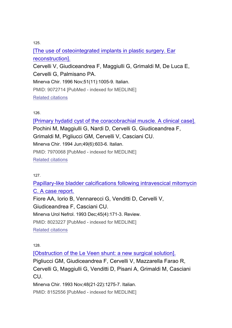[The use of osteointegrated implants in plastic surgery. Ear reconstruction]. Cervelli V, Giudiceandrea F, Maggiulli G, Grimaldi M, De Luca E, Cervelli G, Palmisano PA. Minerva Chir. 1996 Nov;51(11):1005-9. Italian. PMID: 9072714 [PubMed - indexed for MEDLINE] Related citations

126.

[Primary hydatid cyst of the coracobrachial muscle. A clinical case]. Pochini M, Maggiulli G, Nardi D, Cervelli G, Giudiceandrea F, Grimaldi M, Pigliucci GM, Cervelli V, Casciani CU. Minerva Chir. 1994 Jun;49(6):603-6. Italian. PMID: 7970068 [PubMed - indexed for MEDLINE] Related citations

127.

Papillary-like bladder calcifications following intravescical mitomycin C. A case report. Fiore AA, Iorio B, Vennarecci G, Venditti D, Cervelli V, Giudiceandrea F, Casciani CU. Minerva Urol Nefrol. 1993 Dec;45(4):171-3. Review. PMID: 8023227 [PubMed - indexed for MEDLINE] Related citations

128.

[Obstruction of the Le Veen shunt: a new surgical solution].

Pigliucci GM, Giudiceandrea F, Cervelli V, Mazzarella Farao R, Cervelli G, Maggiulli G, Venditti D, Pisani A, Grimaldi M, Casciani CU.

Minerva Chir. 1993 Nov;48(21-22):1275-7. Italian.

PMID: 8152556 [PubMed - indexed for MEDLINE]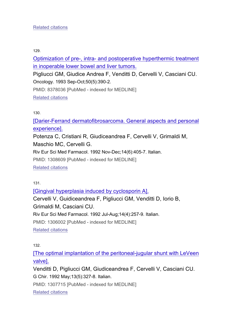Optimization of pre-, intra- and postoperative hyperthermic treatment in inoperable lower bowel and liver tumors.

Pigliucci GM, Giudice Andrea F, Venditti D, Cervelli V, Casciani CU. Oncology. 1993 Sep-Oct;50(5):390-2.

PMID: 8378036 [PubMed - indexed for MEDLINE]

Related citations

130.

[Darier-Ferrand dermatofibrosarcoma. General aspects and personal experience].

Potenza C, Cristiani R, Giudiceandrea F, Cervelli V, Grimaldi M, Maschio MC, Cervelli G.

Riv Eur Sci Med Farmacol. 1992 Nov-Dec;14(6):405-7. Italian.

PMID: 1308609 [PubMed - indexed for MEDLINE]

Related citations

131.

[Gingival hyperplasia induced by cyclosporin A]. Cervelli V, Guidiceandrea F, Pigliucci GM, Venditti D, Iorio B, Grimaldi M, Casciani CU. Riv Eur Sci Med Farmacol. 1992 Jul-Aug;14(4):257-9. Italian. PMID: 1306002 [PubMed - indexed for MEDLINE] Related citations

132.

[The optimal implantation of the peritoneal-jugular shunt with LeVeen valve].

Venditti D, Pigliucci GM, Giudiceandrea F, Cervelli V, Casciani CU. G Chir. 1992 May;13(5):327-8. Italian.

PMID: 1307715 [PubMed - indexed for MEDLINE]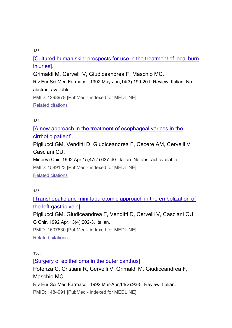[Cultured human skin: prospects for use in the treatment of local burn injuries].

Grimaldi M, Cervelli V, Giudiceandrea F, Maschio MC.

Riv Eur Sci Med Farmacol. 1992 May-Jun;14(3):199-201. Review. Italian. No abstract available.

PMID: 1298978 [PubMed - indexed for MEDLINE]

Related citations

134.

[A new approach in the treatment of esophageal varices in the cirrhotic patient].

Pigliucci GM, Venditti D, Giudiceandrea F, Cecere AM, Cervelli V, Casciani CU.

Minerva Chir. 1992 Apr 15;47(7):637-40. Italian. No abstract available.

PMID: 1589123 [PubMed - indexed for MEDLINE]

Related citations

135.

[Transhepatic and mini-laparotomic approach in the embolization of the left gastric vein].

Pigliucci GM, Giudiceandrea F, Venditti D, Cervelli V, Casciani CU. G Chir. 1992 Apr;13(4):202-3. Italian.

PMID: 1637630 [PubMed - indexed for MEDLINE]

Related citations

136.

[Surgery of epithelioma in the outer canthus].

Potenza C, Cristiani R, Cervelli V, Grimaldi M, Giudiceandrea F, Maschio MC.

Riv Eur Sci Med Farmacol. 1992 Mar-Apr;14(2):93-5. Review. Italian.

PMID: 1484991 [PubMed - indexed for MEDLINE]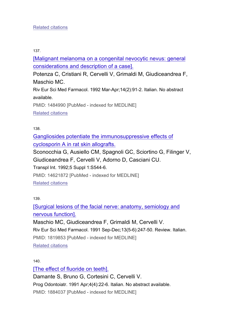[Malignant melanoma on a congenital nevocytic nevus: general considerations and description of a case].

Potenza C, Cristiani R, Cervelli V, Grimaldi M, Giudiceandrea F, Maschio MC.

Riv Eur Sci Med Farmacol. 1992 Mar-Apr;14(2):91-2. Italian. No abstract available.

PMID: 1484990 [PubMed - indexed for MEDLINE] Related citations

138.

Gangliosides potentiate the immunosuppressive effects of cyclosporin A in rat skin allografts.

Sconocchia G, Ausiello CM, Spagnoli GC, Sciortino G, Filinger V, Giudiceandrea F, Cervelli V, Adorno D, Casciani CU. Transpl Int. 1992;5 Suppl 1:S544-6.

PMID: 14621872 [PubMed - indexed for MEDLINE]

Related citations

139.

[Surgical lesions of the facial nerve: anatomy, semiology and nervous function].

Maschio MC, Giudiceandrea F, Grimaldi M, Cervelli V. Riv Eur Sci Med Farmacol. 1991 Sep-Dec;13(5-6):247-50. Review. Italian. PMID: 1819853 [PubMed - indexed for MEDLINE] Related citations

140.

[The effect of fluoride on teeth]. Damante S, Bruno G, Cortesini C, Cervelli V. Prog Odontoiatr. 1991 Apr;4(4):22-6. Italian. No abstract available. PMID: 1884037 [PubMed - indexed for MEDLINE]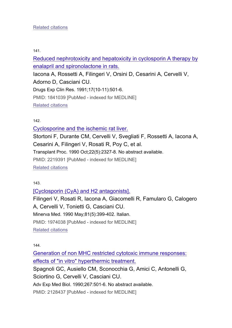## Related citations

141.

Reduced nephrotoxicity and hepatoxicity in cyclosporin A therapy by enalapril and spironolactone in rats.

Iacona A, Rossetti A, Filingeri V, Orsini D, Cesarini A, Cervelli V, Adorno D, Casciani CU. Drugs Exp Clin Res. 1991;17(10-11):501-6. PMID: 1841039 [PubMed - indexed for MEDLINE] Related citations

142.

Cyclosporine and the ischemic rat liver. Stortoni F, Durante CM, Cervelli V, Svegliati F, Rossetti A, Iacona A, Cesarini A, Filingeri V, Rosati R, Poy C, et al. Transplant Proc. 1990 Oct;22(5):2327-8. No abstract available. PMID: 2219391 [PubMed - indexed for MEDLINE] Related citations

143.

[Cyclosporin (CyA) and H2 antagonists].

Filingeri V, Rosati R, Iacona A, Giacomelli R, Famularo G, Calogero A, Cervelli V, Tonietti G, Casciani CU. Minerva Med. 1990 May;81(5):399-402. Italian. PMID: 1974038 [PubMed - indexed for MEDLINE] Related citations

144.

Generation of non MHC restricted cytotoxic immune responses: effects of "in vitro" hyperthermic treatment.

Spagnoli GC, Ausiello CM, Sconocchia G, Amici C, Antonelli G, Sciortino G, Cervelli V, Casciani CU.

Adv Exp Med Biol. 1990;267:501-6. No abstract available.

PMID: 2128437 [PubMed - indexed for MEDLINE]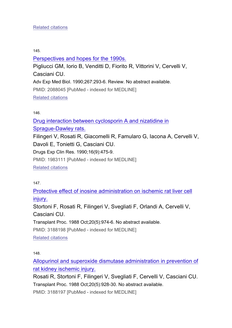## Related citations

#### 145.

## Perspectives and hopes for the 1990s.

Pigliucci GM, Iorio B, Venditti D, Fiorito R, Vittorini V, Cervelli V, Casciani CU. Adv Exp Med Biol. 1990;267:293-6. Review. No abstract available. PMID: 2088045 [PubMed - indexed for MEDLINE] Related citations

#### 146.

Drug interaction between cyclosporin A and nizatidine in Sprague-Dawley rats. Filingeri V, Rosati R, Giacomelli R, Famularo G, Iacona A, Cervelli V, Davoli E, Tonietti G, Casciani CU. Drugs Exp Clin Res. 1990;16(9):475-9. PMID: 1983111 [PubMed - indexed for MEDLINE] Related citations

147.

Protective effect of inosine administration on ischemic rat liver cell injury.

Stortoni F, Rosati R, Filingeri V, Svegliati F, Orlandi A, Cervelli V, Casciani CU.

Transplant Proc. 1988 Oct;20(5):974-6. No abstract available.

PMID: 3188198 [PubMed - indexed for MEDLINE]

Related citations

148.

Allopurinol and superoxide dismutase administration in prevention of rat kidney ischemic injury.

Rosati R, Stortoni F, Filingeri V, Svegliati F, Cervelli V, Casciani CU. Transplant Proc. 1988 Oct;20(5):928-30. No abstract available.

PMID: 3188197 [PubMed - indexed for MEDLINE]